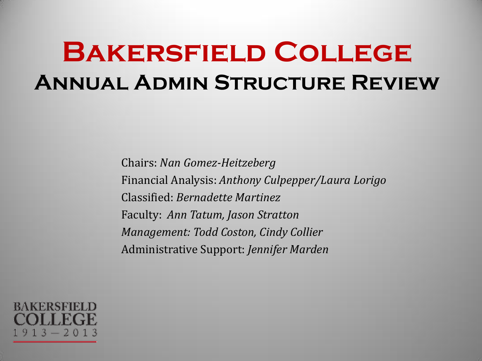# **Bakersfield College Annual Admin Structure Review**

Chairs: *Nan Gomez-Heitzeberg* Financial Analysis: *Anthony Culpepper/Laura Lorigo* Classified: *Bernadette Martinez*  Faculty: *Ann Tatum, Jason Stratton Management: Todd Coston, Cindy Collier*  Administrative Support: *Jennifer Marden*

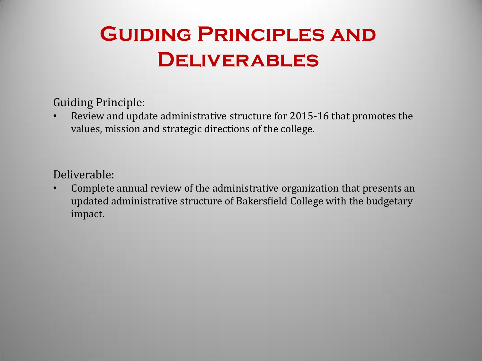## **Guiding Principles and Deliverables**

Guiding Principle:

• Review and update administrative structure for 2015-16 that promotes the values, mission and strategic directions of the college.

Deliverable:

• Complete annual review of the administrative organization that presents an updated administrative structure of Bakersfield College with the budgetary impact.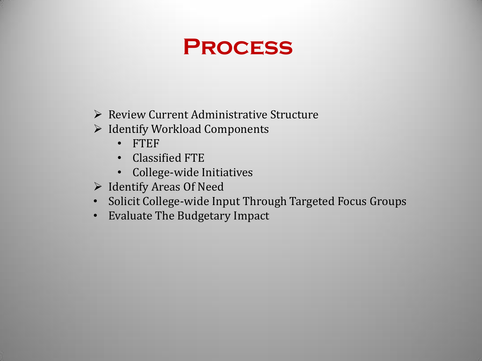#### **Process**

- Review Current Administrative Structure
- $\triangleright$  Identify Workload Components
	- FTEF
	- Classified FTE
	- College-wide Initiatives
- $\triangleright$  Identify Areas Of Need
- Solicit College-wide Input Through Targeted Focus Groups
- Evaluate The Budgetary Impact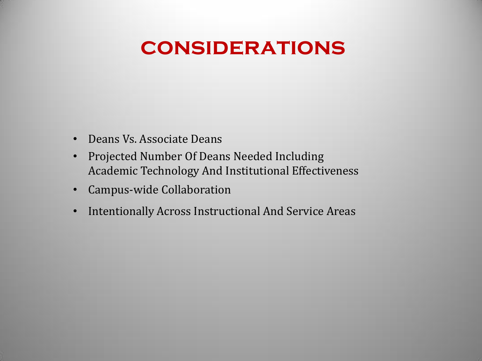#### **considerations**

- Deans Vs. Associate Deans
- Projected Number Of Deans Needed Including Academic Technology And Institutional Effectiveness
- Campus-wide Collaboration
- Intentionally Across Instructional And Service Areas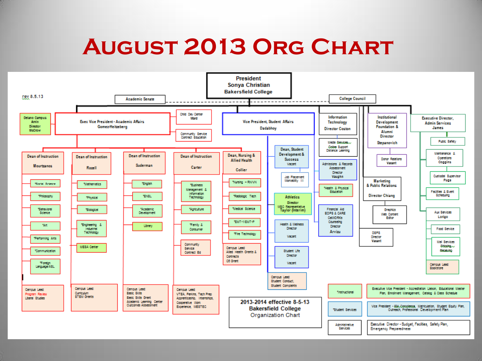## **August 2013 Org Chart**

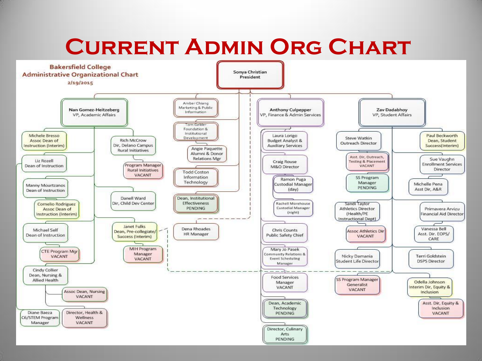## **Current Admin Org Chart**

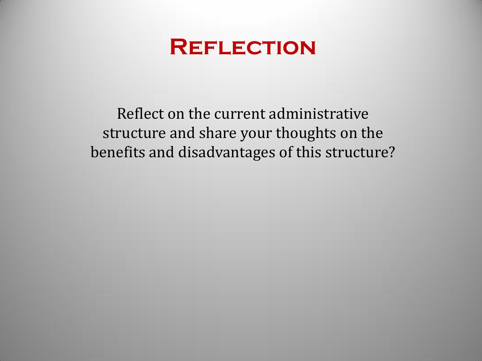

Reflect on the current administrative structure and share your thoughts on the benefits and disadvantages of this structure?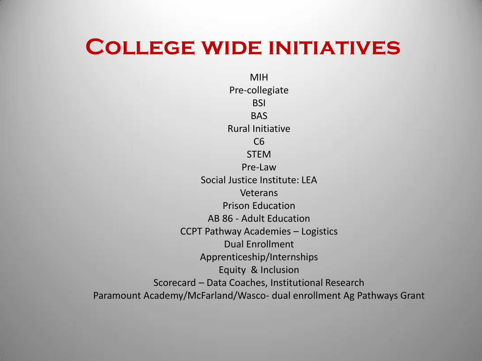#### **College wide initiatives**

MIH Pre-collegiate **BSI** BAS Rural Initiative C6 **STEM** Pre-Law Social Justice Institute: LEA Veterans Prison Education AB 86 - Adult Education CCPT Pathway Academies – Logistics Dual Enrollment Apprenticeship/Internships Equity & Inclusion Scorecard – Data Coaches, Institutional Research Paramount Academy/McFarland/Wasco- dual enrollment Ag Pathways Grant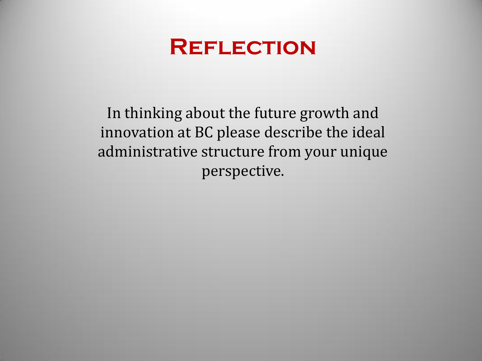

In thinking about the future growth and innovation at BC please describe the ideal administrative structure from your unique perspective.